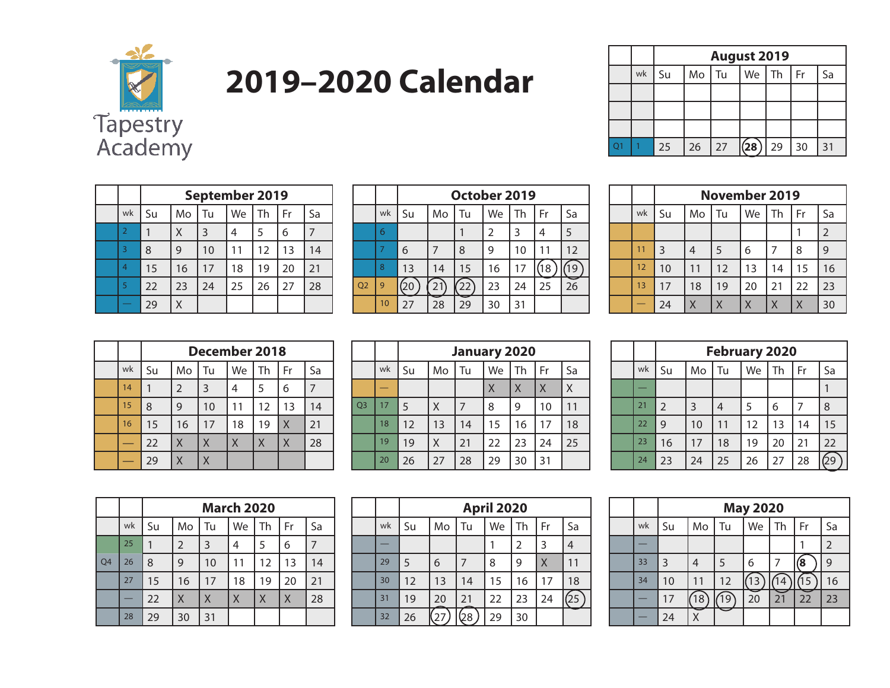

# **2019–2020 Calendar**

|  |    |    | <b>August 2019</b> |    |      |                 |                 |    |  |  |
|--|----|----|--------------------|----|------|-----------------|-----------------|----|--|--|
|  | wk | Su | M <sub>o</sub>     | Tu |      | We   Th $\vert$ | Fr              | Sa |  |  |
|  |    |    |                    |    |      |                 |                 |    |  |  |
|  |    |    |                    |    |      |                 |                 |    |  |  |
|  |    |    |                    |    |      |                 |                 |    |  |  |
|  |    | 25 | 26                 | 27 | (28) | 29              | 30 <sub>1</sub> | 31 |  |  |

|                |    | September 2019 |    |    |    |    |    |  |  |  |
|----------------|----|----------------|----|----|----|----|----|--|--|--|
| wk             | Su | Mo             | Tu | We | Th | Fr | Sa |  |  |  |
| $\overline{2}$ |    | Χ              | 3  | 4  | 5  | 6  |    |  |  |  |
| 3              | 8  | 9              | 10 | 11 | 12 | 13 | 14 |  |  |  |
| $\overline{4}$ | 15 | 16             | 17 | 18 | 19 | 20 | 21 |  |  |  |
| 5              | 22 | 23             | 24 | 25 | 26 | 27 | 28 |  |  |  |
|                | 29 | χ              |    |    |    |    |    |  |  |  |

|                |    |    | October 2019 |    |                |    |    |    |  |  |  |
|----------------|----|----|--------------|----|----------------|----|----|----|--|--|--|
|                | wk | Su | Mo           | Tu | We             | Th | Fr | Sa |  |  |  |
|                | 6  |    |              |    | $\overline{2}$ | 3  | 4  | 5  |  |  |  |
|                |    | 6  |              | 8  | 9              | 10 | 11 | 12 |  |  |  |
|                | 8  | 13 | 14           | 15 | 16             | 17 | 18 |    |  |  |  |
| Q <sub>2</sub> | 9  |    |              | 22 | 23             | 24 | 25 | 26 |  |  |  |
|                | 10 | 27 | 28           | 29 | 30             | 31 |    |    |  |  |  |

|    | <b>November 2019</b> |    |    |    |    |    |                |  |  |
|----|----------------------|----|----|----|----|----|----------------|--|--|
| wk | Su                   | Mo | Tu | We | Th | Fr | Sa             |  |  |
|    |                      |    |    |    |    |    | $\overline{2}$ |  |  |
| 11 | 3                    | 4  | 5  | 6  |    | 8  | 9              |  |  |
| 12 | 10                   | 11 | 12 | 13 | 14 | 15 | 16             |  |  |
| 13 | 17                   | 18 | 19 | 20 | 21 | 22 | 23             |  |  |
|    | 24                   |    | X  | χ  | Χ  | Χ  | 30             |  |  |

|    |    | December 2018 |    |    |    |                |    |  |  |  |
|----|----|---------------|----|----|----|----------------|----|--|--|--|
| wk | Su | Mo            | Tu | We | Th | Fr             | Sa |  |  |  |
| 14 |    | 2             | 3  | 4  | 5  | 6              |    |  |  |  |
| 15 | 8  | 9             | 10 | 11 | 12 | 13             | 14 |  |  |  |
| 16 | 15 | 16            | 17 | 18 | 19 | $\overline{X}$ | 21 |  |  |  |
|    | 22 | X             | Χ  | Χ  | X  | X              | 28 |  |  |  |
|    | 29 | Χ             | X  |    |    |                |    |  |  |  |

|                |    |    | <b>January 2020</b> |                |    |    |    |    |  |  |  |
|----------------|----|----|---------------------|----------------|----|----|----|----|--|--|--|
|                | wk | Su | Mo                  | Tu             | We | Th | Fr | Sa |  |  |  |
|                |    |    |                     |                | X  | X  | X  | X  |  |  |  |
| Q <sub>3</sub> | 17 | 5  | X                   | $\overline{7}$ | 8  | 9  | 10 | 11 |  |  |  |
|                | 18 | 12 | 13                  | 14             | 15 | 16 | 17 | 18 |  |  |  |
|                | 19 | 19 | X                   | 21             | 22 | 23 | 24 | 25 |  |  |  |
|                | 20 | 26 | 27                  | 28             | 29 | 30 | 31 |    |  |  |  |

|    |    | <b>February 2020</b> |    |    |    |    |    |  |  |  |  |
|----|----|----------------------|----|----|----|----|----|--|--|--|--|
| wk | Su | Mo                   | Tu | We | Th | Fr | Sa |  |  |  |  |
|    |    |                      |    |    |    |    |    |  |  |  |  |
| 21 | 2  | 3                    | 4  | 5  | 6  | 7  | 8  |  |  |  |  |
| 22 | 9  | 10                   | 11 | 12 | 13 | 14 | 15 |  |  |  |  |
| 23 | 16 | 17                   | 18 | 19 | 20 | 21 | 22 |  |  |  |  |
| 24 | 23 | 24                   | 25 | 26 | 27 | 28 | 29 |  |  |  |  |

|    |    |    | <b>March 2020</b> |    |    |    |    |    |  |  |  |
|----|----|----|-------------------|----|----|----|----|----|--|--|--|
|    | wk | Su | Mo                | Tu | We | Th | Fr | Sa |  |  |  |
|    | 25 |    | 2                 | 3  | 4  | 5  | 6  | 7  |  |  |  |
| Q4 | 26 | 8  | 9                 | 10 | 11 | 12 | 13 | 14 |  |  |  |
|    | 27 | 15 | 16                | 17 | 18 | 19 | 20 | 21 |  |  |  |
|    |    | 22 | X                 | X  | Χ  | X  | X  | 28 |  |  |  |
|    | 28 | 29 | 30                | 31 |    |    |    |    |  |  |  |

|    |    | <b>April 2020</b> |    |    |    |    |    |  |  |  |
|----|----|-------------------|----|----|----|----|----|--|--|--|
| wk | Su | Mo                | Tu | We | Th | Fr | Sa |  |  |  |
|    |    |                   |    |    | 2  | 3  | 4  |  |  |  |
| 29 | 5  | 6                 | 7  | 8  | 9  | Χ  | 11 |  |  |  |
| 30 | 12 | 13                | 14 | 15 | 16 | 17 | 18 |  |  |  |
| 31 | 19 | 20                | 21 | 22 | 23 | 24 | 25 |  |  |  |
| 32 | 26 |                   | 28 | 29 | 30 |    |    |  |  |  |

|    |    | <b>May 2020</b> |    |    |    |    |                |  |  |
|----|----|-----------------|----|----|----|----|----------------|--|--|
| wk | Su | Mo              | Tu | We | Th | Fr | Sa             |  |  |
|    |    |                 |    |    |    |    | $\overline{2}$ |  |  |
| 33 | 3  |                 | 5  | 6  |    | 8  | 9              |  |  |
| 34 | 10 | 11              | 12 | 13 | 4  | 15 | 16             |  |  |
|    | 17 | 18              | 19 | 20 | 21 | 22 | 23             |  |  |
|    | 24 |                 |    |    |    |    |                |  |  |